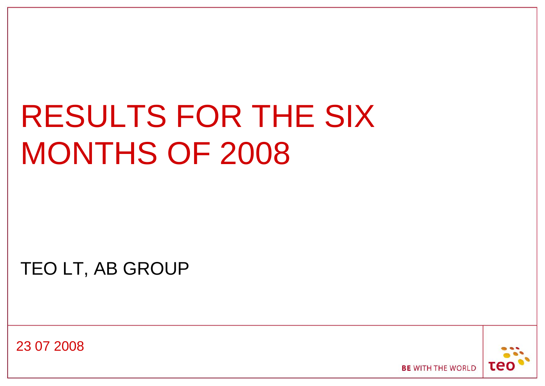## RESULTS FOR THE SIX MONTHS OF 2008

TEO LT, AB GROUP

23 07 2008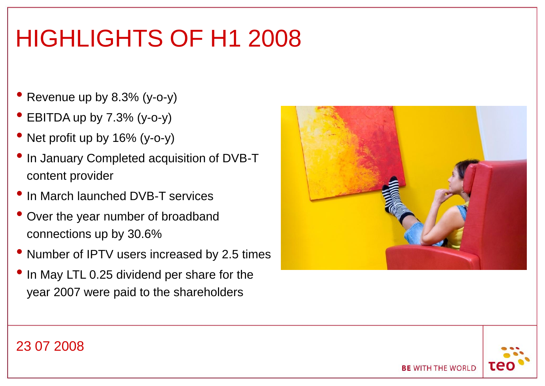### HIGHLIGHTS OF H1 2008

- Revenue up by 8.3% (y-o-y)
- EBITDA up by 7.3% (y-o-y)
- Net profit up by 16% (y-o-y)
- In January Completed acquisition of DVB-T content provider
- In March launched DVB-T services
- Over the year number of broadband connections up by 30.6%
- Number of IPTV users increased by 2.5 times
- In May LTL 0.25 dividend per share for the year 2007 were paid to the shareholders



#### 23 07 2008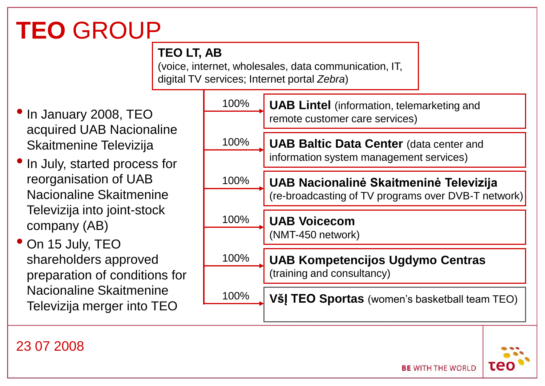### **TEO** GROUP

#### **TEO LT, AB**

(voice, internet, wholesales, data communication, IT, digital TV services; Internet portal *Zebra*)

- •In January 2008, TEO acquired UAB Nacionaline Skaitmenine Televizija
- •In July, started process for reorganisation of UAB Nacionaline Skaitmenine Televizija into joint-stock company (AB)
- On 15 July, TEO shareholders approved preparation of conditions for Nacionaline Skaitmenine Televizija merger into TEO



#### 23 07 2008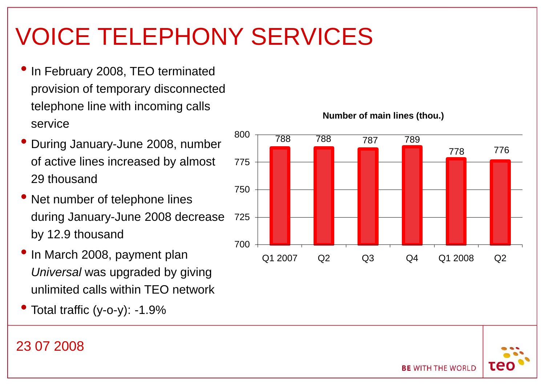### VOICE TELEPHONY SERVICES

- In February 2008, TEO terminated provision of temporary disconnected telephone line with incoming calls service
- During January-June 2008, number of active lines increased by almost 29 thousand
- Net number of telephone lines during January-June 2008 decrease by 12.9 thousand
- In March 2008, payment plan *Universal* was upgraded by giving unlimited calls within TEO network
- Total traffic (y-o-y): -1.9%

#### 788 788 787 789 778 776 700 725 750 775 800 Q1 2007 Q2 Q3 Q4 Q1 2008 Q2

**BE WITH THE WORLD** 

#### **Number of main lines (thou.)**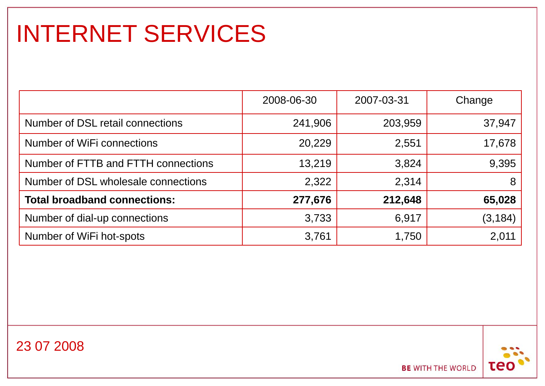### INTERNET SERVICES

|                                     | 2008-06-30 | 2007-03-31 | Change   |
|-------------------------------------|------------|------------|----------|
| Number of DSL retail connections    | 241,906    | 203,959    | 37,947   |
| Number of WiFi connections          | 20,229     | 2,551      | 17,678   |
| Number of FTTB and FTTH connections | 13,219     | 3,824      | 9,395    |
| Number of DSL wholesale connections | 2,322      | 2,314      | 8        |
| <b>Total broadband connections:</b> | 277,676    | 212,648    | 65,028   |
| Number of dial-up connections       | 3,733      | 6,917      | (3, 184) |
| Number of WiFi hot-spots            | 3,761      | 1,750      | 2,011    |



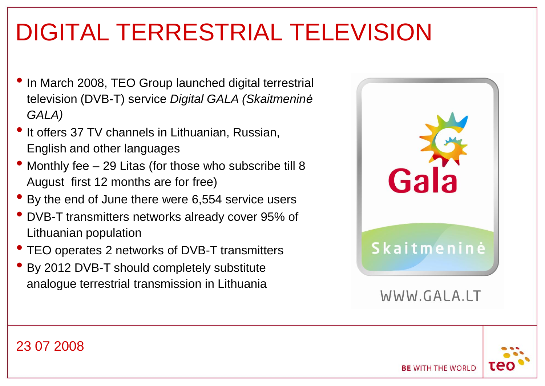### DIGITAL TERRESTRIAL TELEVISION

- In March 2008, TEO Group launched digital terrestrial television (DVB-T) service *Digital GALA (Skaitmeninė GALA)*
- It offers 37 TV channels in Lithuanian, Russian, English and other languages
- Monthly fee 29 Litas (for those who subscribe till 8 August first 12 months are for free)
- By the end of June there were 6,554 service users
- DVB-T transmitters networks already cover 95% of Lithuanian population
- TEO operates 2 networks of DVB-T transmitters
- By 2012 DVB-T should completely substitute analogue terrestrial transmission in Lithuania



WWW.GALA.LT

**BE WITH THE WORLD** 

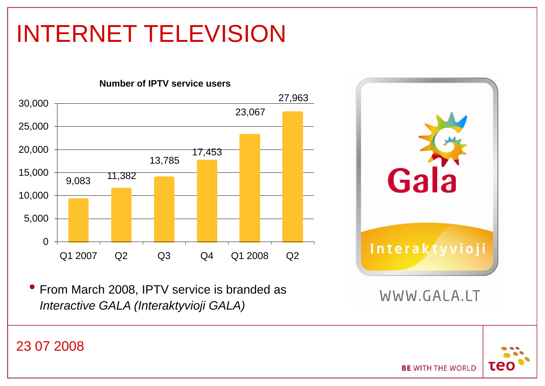### INTERNET TELEVISION



• From March 2008, IPTV service is branded as *Interactive GALA (Interaktyvioji GALA)*

23 07 2008

# Gal Interaktyvioji WWW.GALA.LT

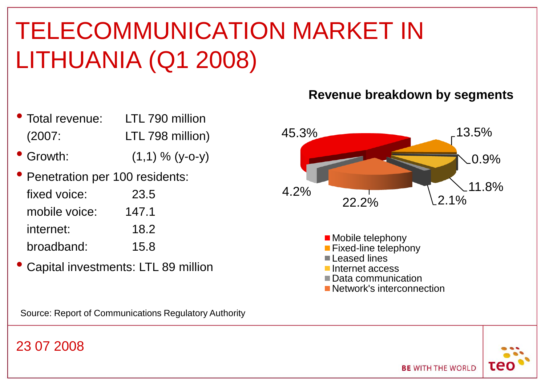### TELECOMMUNICATION MARKET IN LITHUANIA (Q1 2008)

- Total revenue: LTL 790 million (2007: LTL 798 million)
- Growth:  $(1,1)$  %  $(y-o-y)$
- Penetration per 100 residents: fixed voice: 23.5 mobile voice: 147.1 internet: 18.2 broadband: 15.8
- Capital investments: LTL 89 million

Source: Report of Communications Regulatory Authority

#### 23 07 2008

#### **Revenue breakdown by segments**



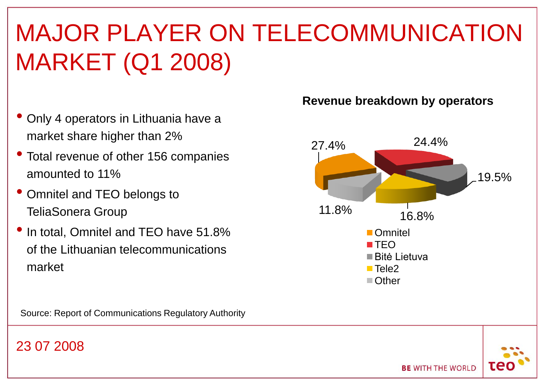### MAJOR PLAYER ON TELECOMMUNICATION MARKET (Q1 2008)

- Only 4 operators in Lithuania have a market share higher than 2%
- Total revenue of other 156 companies amounted to 11%
- Omnitel and TEO belongs to TeliaSonera Group
- In total, Omnitel and TEO have 51.8% of the Lithuanian telecommunications market

#### Source: Report of Communications Regulatory Authority

#### 23 07 2008

#### **Revenue breakdown by operators**



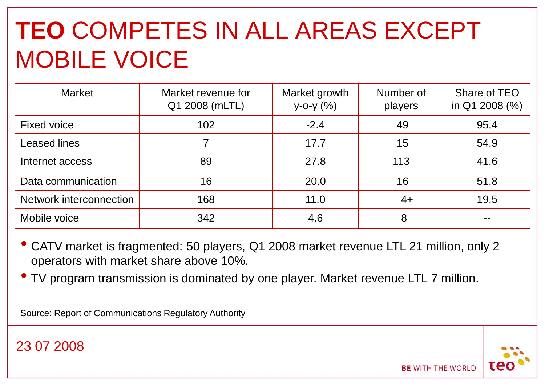### **TEO** COMPETES IN ALL AREAS EXCEPT MOBILE VOICE

| <b>Market</b>           | Market revenue for<br>Q1 2008 (mLTL) | Market growth<br>y-o-y (%) | Number of<br>players | Share of TEO<br>in Q1 2008 (%) |
|-------------------------|--------------------------------------|----------------------------|----------------------|--------------------------------|
| <b>Fixed voice</b>      | 102                                  | $-2.4$                     | 49                   | 95,4                           |
| <b>Leased lines</b>     |                                      | 17.7                       | 15                   | 54.9                           |
| Internet access         | 89                                   | 27.8                       | 113                  | 41.6                           |
| Data communication      | 16                                   | 20.0                       | 16                   | 51.8                           |
| Network interconnection | 168                                  | 11.0                       | $4+$                 | 19.5                           |
| Mobile voice            | 342                                  | 4.6                        | 8                    | --                             |

- CATV market is fragmented: 50 players, Q1 2008 market revenue LTL 21 million, only 2 operators with market share above 10%.
- TV program transmission is dominated by one player. Market revenue LTL 7 million.

Source: Report of Communications Regulatory Authority

23 07 2008

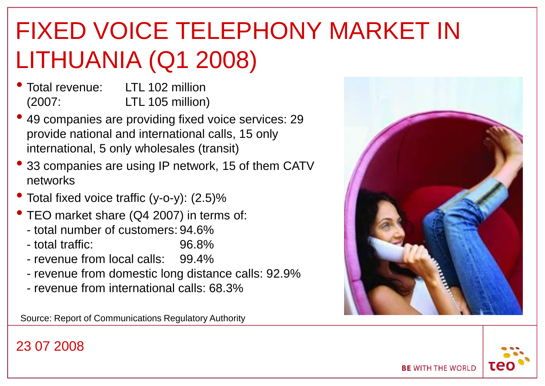### FIXED VOICE TELEPHONY MARKET IN LITHUANIA (Q1 2008)

- Total revenue: LTL 102 million (2007: LTL 105 million)
- 49 companies are providing fixed voice services: 29 provide national and international calls, 15 only international, 5 only wholesales (transit)
- <sup>33</sup> companies are using IP network, 15 of them CATV networks
- Total fixed voice traffic  $(y-o-y)$ :  $(2.5)$ %
- TEO market share (Q4 2007) in terms of:
	- total number of customers: 94.6%
	- total traffic: 96.8%
	- revenue from local calls: 99.4%
	- revenue from domestic long distance calls: 92.9%
	- revenue from international calls: 68.3%

Source: Report of Communications Regulatory Authority

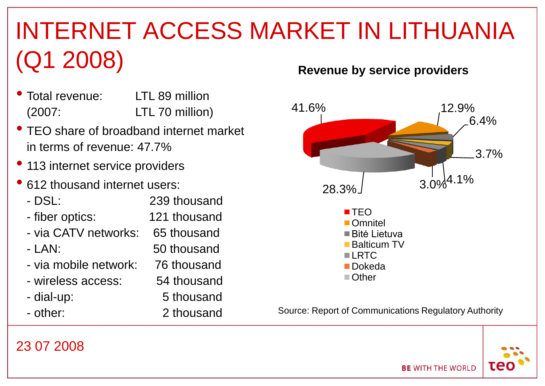### INTERNET ACCESS MARKET IN LITHUANIA (Q1 2008)

- Total revenue: LTL 89 million (2007: LTL 70 million)
- TEO share of broadband internet market in terms of revenue: 47.7%
- 113 internet service providers
- <sup>612</sup> thousand internet users: - DSL: 239 thousand - fiber optics: 121 thousand - via CATV networks: 65 thousand - LAN: 50 thousand - via mobile network: 76 thousand - wireless access: 54 thousand - dial-up: 5 thousand - other: 2 thousand

#### **Revenue by service providers**



Source: Report of Communications Regulatory Authority

**BE WITH THE WORLD** 

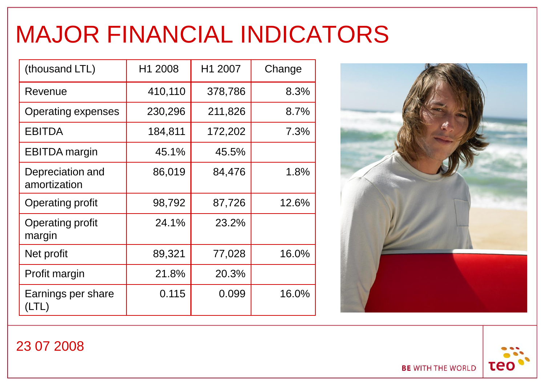### MAJOR FINANCIAL INDICATORS

| (thousand LTL)                    | H1 2008 | H1 2007 | Change |
|-----------------------------------|---------|---------|--------|
| Revenue                           | 410,110 | 378,786 | 8.3%   |
| Operating expenses                | 230,296 | 211,826 | 8.7%   |
| <b>EBITDA</b>                     | 184,811 | 172,202 | 7.3%   |
| <b>EBITDA</b> margin              | 45.1%   | 45.5%   |        |
| Depreciation and<br>amortization  | 86,019  | 84,476  | 1.8%   |
| <b>Operating profit</b>           | 98,792  | 87,726  | 12.6%  |
| <b>Operating profit</b><br>margin | 24.1%   | 23.2%   |        |
| Net profit                        | 89,321  | 77,028  | 16.0%  |
| Profit margin                     | 21.8%   | 20.3%   |        |
| Earnings per share<br>LTL         | 0.115   | 0.099   | 16.0%  |





23 07 2008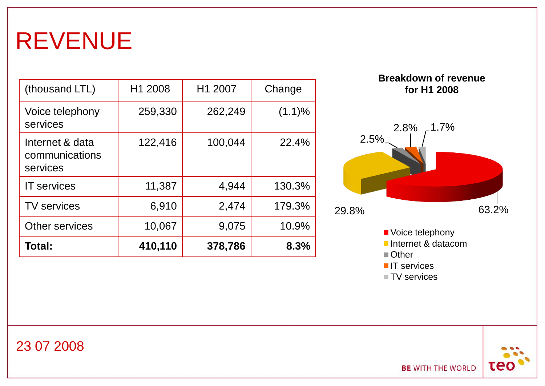### REVENUE

| (thousand LTL)                                | H1 2008 | H1 2007 | Change |
|-----------------------------------------------|---------|---------|--------|
| Voice telephony<br>services                   | 259,330 | 262,249 | (1.1)% |
| Internet & data<br>communications<br>services | 122,416 | 100,044 | 22.4%  |
| <b>IT</b> services                            | 11,387  | 4,944   | 130.3% |
| <b>TV services</b>                            | 6,910   | 2,474   | 179.3% |
| Other services                                | 10,067  | 9,075   | 10.9%  |
| Total:                                        | 410,110 | 378,786 | 8.3%   |



- **IT** services
- TV services



**BE WITH THE WORLD**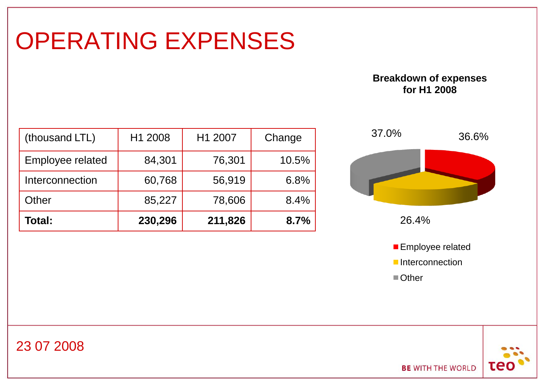#### OPERATING EXPENSES

#### **Breakdown of expenses for H1 2008**

| Total:           | 230,296 | 211,826 | 8.7%   |
|------------------|---------|---------|--------|
| Other            | 85,227  | 78,606  | 8.4%   |
| Interconnection  | 60,768  | 56,919  | 6.8%   |
| Employee related | 84,301  | 76,301  | 10.5%  |
| (thousand LTL)   | H1 2008 | H1 2007 | Change |





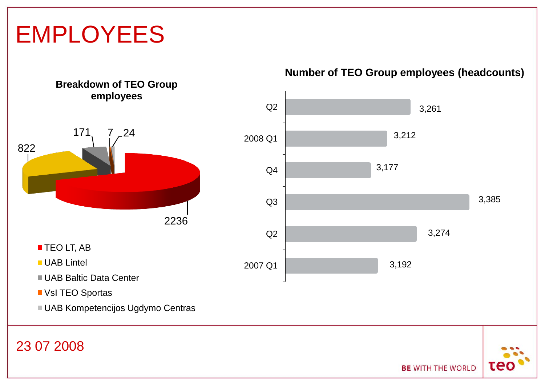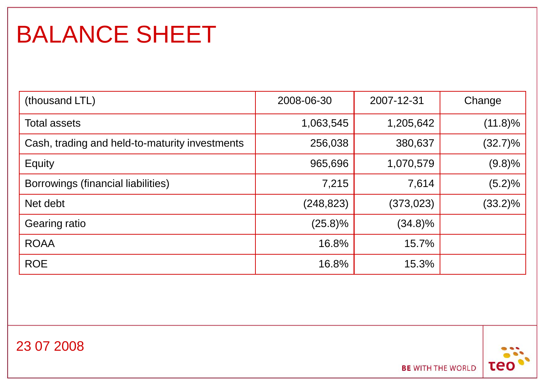### BALANCE SHEET

| (thousand LTL)                                 | 2008-06-30 | 2007-12-31 | Change     |
|------------------------------------------------|------------|------------|------------|
| <b>Total assets</b>                            | 1,063,545  | 1,205,642  | $(11.8)\%$ |
| Cash, trading and held-to-maturity investments | 256,038    | 380,637    | $(32.7)\%$ |
| Equity                                         | 965,696    | 1,070,579  | (9.8)%     |
| Borrowings (financial liabilities)             | 7,215      | 7,614      | (5.2)%     |
| Net debt                                       | (248, 823) | (373, 023) | $(33.2)\%$ |
| Gearing ratio                                  | $(25.8)\%$ | $(34.8)\%$ |            |
| <b>ROAA</b>                                    | 16.8%      | 15.7%      |            |
| <b>ROE</b>                                     | 16.8%      | 15.3%      |            |



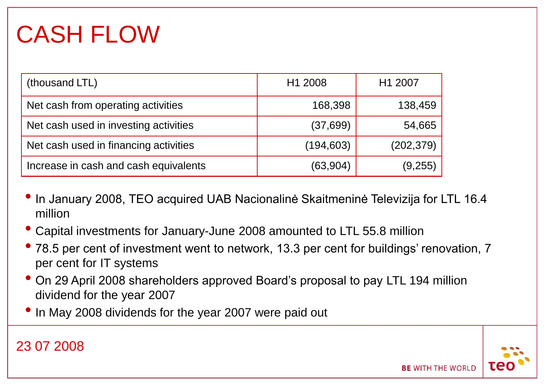### CASH FLOW

| (thousand LTL)                        | H1 2008    | H1 2007    |
|---------------------------------------|------------|------------|
| Net cash from operating activities    | 168,398    | 138,459    |
| Net cash used in investing activities | (37, 699)  | 54,665     |
| Net cash used in financing activities | (194, 603) | (202, 379) |
| Increase in cash and cash equivalents | (63, 904)  | (9,255)    |

- In January 2008, TEO acquired UAB Nacionalinė Skaitmeninė Televizija for LTL 16.4 million
- Capital investments for January-June 2008 amounted to LTL 55.8 million
- 78.5 per cent of investment went to network, 13.3 per cent for buildings' renovation, 7 per cent for IT systems
- On 29 April 2008 shareholders approved Board's proposal to pay LTL 194 million dividend for the year 2007
- In May 2008 dividends for the year 2007 were paid out

23 07 2008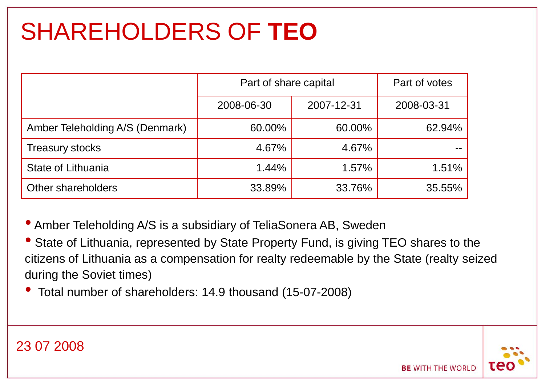### SHAREHOLDERS OF **TEO**

|                                 | Part of share capital | Part of votes |            |
|---------------------------------|-----------------------|---------------|------------|
|                                 | 2008-06-30            | 2007-12-31    | 2008-03-31 |
| Amber Teleholding A/S (Denmark) | 60.00%                | 60.00%        | 62.94%     |
| <b>Treasury stocks</b>          | 4.67%                 | 4.67%         |            |
| State of Lithuania              | 1.44%                 | 1.57%         | $1.51\%$   |
| Other shareholders              | 33.89%                | 33.76%        | 35.55%     |

• Amber Teleholding A/S is a subsidiary of TeliaSonera AB, Sweden

• State of Lithuania, represented by State Property Fund, is giving TEO shares to the citizens of Lithuania as a compensation for realty redeemable by the State (realty seized during the Soviet times)

• Total number of shareholders: 14.9 thousand (15-07-2008)



**BE WITH THE WORLD**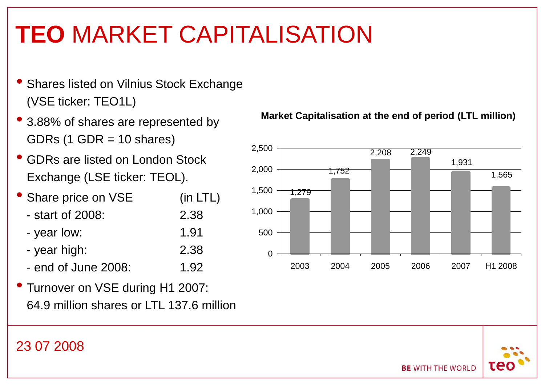### **TEO** MARKET CAPITALISATION

- Shares listed on Vilnius Stock Exchange (VSE ticker: TEO1L)
- 3.88% of shares are represented by GDRs  $(1$  GDR = 10 shares)
- GDRs are listed on London Stock Exchange (LSE ticker: TEOL).
- Share price on VSE (in LTL)
	- start of 2008: 2.38
	- year low: 1.91
	- year high: 2.38
	- $-$  end of June 2008;  $1.92$
- Turnover on VSE during H1 2007: 64.9 million shares or LTL 137.6 million





#### 23 07 2008